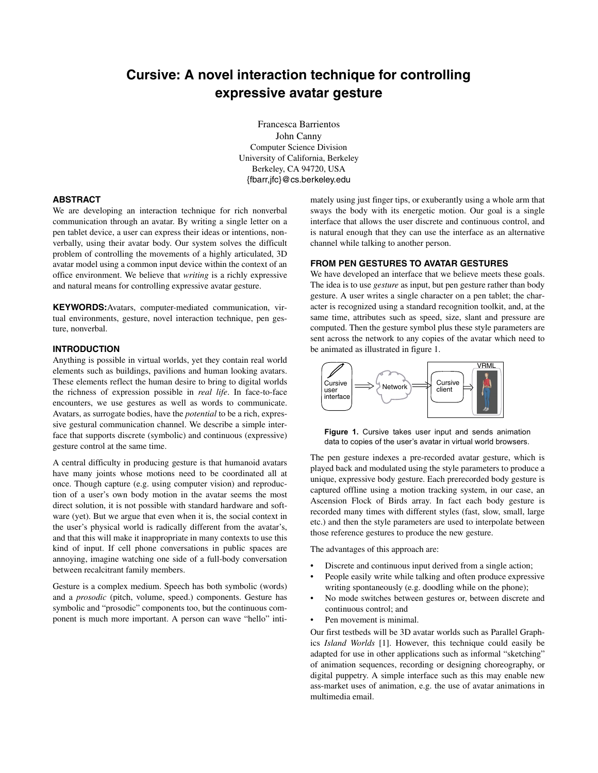# **Cursive: A novel interaction technique for controlling expressive avatar gesture**

Francesca Barrientos John Canny Computer Science Division University of California, Berkeley Berkeley, CA 94720, USA {fbarr,jfc}@cs.berkeley.edu

# **ABSTRACT**

We are developing an interaction technique for rich nonverbal communication through an avatar. By writing a single letter on a pen tablet device, a user can express their ideas or intentions, nonverbally, using their avatar body. Our system solves the difficult problem of controlling the movements of a highly articulated, 3D avatar model using a common input device within the context of an office environment. We believe that *writing* is a richly expressive and natural means for controlling expressive avatar gesture.

**KEYWORDS:**Avatars, computer-mediated communication, virtual environments, gesture, novel interaction technique, pen gesture, nonverbal.

# **INTRODUCTION**

Anything is possible in virtual worlds, yet they contain real world elements such as buildings, pavilions and human looking avatars. These elements reflect the human desire to bring to digital worlds the richness of expression possible in *real life*. In face-to-face encounters, we use gestures as well as words to communicate. Avatars, as surrogate bodies, have the *potential* to be a rich, expressive gestural communication channel. We describe a simple interface that supports discrete (symbolic) and continuous (expressive) gesture control at the same time.

A central difficulty in producing gesture is that humanoid avatars have many joints whose motions need to be coordinated all at once. Though capture (e.g. using computer vision) and reproduction of a user's own body motion in the avatar seems the most direct solution, it is not possible with standard hardware and software (yet). But we argue that even when it is, the social context in the user's physical world is radically different from the avatar's, and that this will make it inappropriate in many contexts to use this kind of input. If cell phone conversations in public spaces are annoying, imagine watching one side of a full-body conversation between recalcitrant family members.

Gesture is a complex medium. Speech has both symbolic (words) and a *prosodic* (pitch, volume, speed.) components. Gesture has symbolic and "prosodic" components too, but the continuous component is much more important. A person can wave "hello" intimately using just finger tips, or exuberantly using a whole arm that sways the body with its energetic motion. Our goal is a single interface that allows the user discrete and continuous control, and is natural enough that they can use the interface as an alternative channel while talking to another person.

# **FROM PEN GESTURES TO AVATAR GESTURES**

We have developed an interface that we believe meets these goals. The idea is to use *gesture* as input, but pen gesture rather than body gesture. A user writes a single character on a pen tablet; the character is recognized using a standard recognition toolkit, and, at the same time, attributes such as speed, size, slant and pressure are computed. Then the gesture symbol plus these style parameters are sent across the network to any copies of the avatar which need to be animated as illustrated in figure 1.



**Figure 1.** Cursive takes user input and sends animation data to copies of the user's avatar in virtual world browsers.

The pen gesture indexes a pre-recorded avatar gesture, which is played back and modulated using the style parameters to produce a unique, expressive body gesture. Each prerecorded body gesture is captured offline using a motion tracking system, in our case, an Ascension Flock of Birds array. In fact each body gesture is recorded many times with different styles (fast, slow, small, large etc.) and then the style parameters are used to interpolate between those reference gestures to produce the new gesture.

The advantages of this approach are:

- Discrete and continuous input derived from a single action;
- People easily write while talking and often produce expressive writing spontaneously (e.g. doodling while on the phone);
- No mode switches between gestures or, between discrete and continuous control; and
- Pen movement is minimal.

Our first testbeds will be 3D avatar worlds such as Parallel Graphics *Island Worlds* [1]. However, this technique could easily be adapted for use in other applications such as informal "sketching" of animation sequences, recording or designing choreography, or digital puppetry. A simple interface such as this may enable new ass-market uses of animation, e.g. the use of avatar animations in multimedia email.